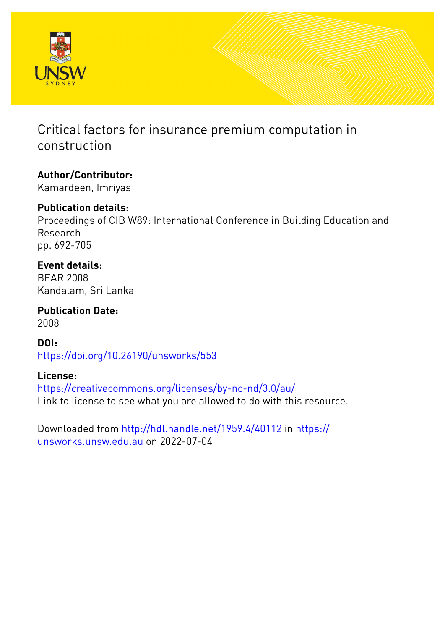

# Critical factors for insurance premium computation in construction

# **Author/Contributor:**

Kamardeen, Imriyas

## **Publication details:**

Proceedings of CIB W89: International Conference in Building Education and Research pp. 692-705

## **Event details:**

BEAR 2008 Kandalam, Sri Lanka

**Publication Date:** 2008

### **DOI:**

[https://doi.org/10.26190/unsworks/553](http://dx.doi.org/https://doi.org/10.26190/unsworks/553)

### **License:**

<https://creativecommons.org/licenses/by-nc-nd/3.0/au/> Link to license to see what you are allowed to do with this resource.

Downloaded from <http://hdl.handle.net/1959.4/40112> in [https://](https://unsworks.unsw.edu.au) [unsworks.unsw.edu.au](https://unsworks.unsw.edu.au) on 2022-07-04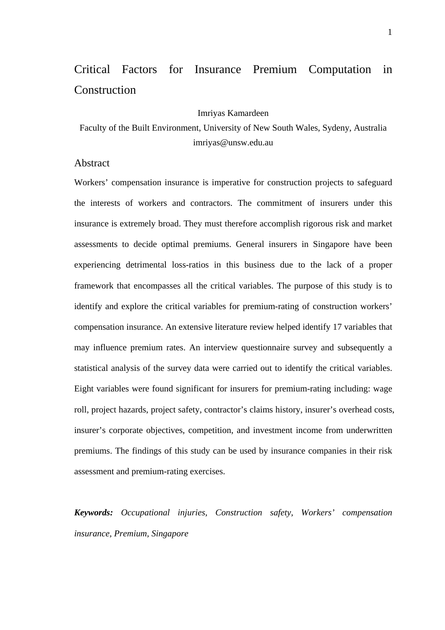# Critical Factors for Insurance Premium Computation in **Construction**

#### Imriyas Kamardeen

Faculty of the Built Environment, University of New South Wales, Sydeny, Australia imriyas@unsw.edu.au

### Abstract

Workers' compensation insurance is imperative for construction projects to safeguard the interests of workers and contractors. The commitment of insurers under this insurance is extremely broad. They must therefore accomplish rigorous risk and market assessments to decide optimal premiums. General insurers in Singapore have been experiencing detrimental loss-ratios in this business due to the lack of a proper framework that encompasses all the critical variables. The purpose of this study is to identify and explore the critical variables for premium-rating of construction workers' compensation insurance. An extensive literature review helped identify 17 variables that may influence premium rates. An interview questionnaire survey and subsequently a statistical analysis of the survey data were carried out to identify the critical variables. Eight variables were found significant for insurers for premium-rating including: wage roll, project hazards, project safety, contractor's claims history, insurer's overhead costs, insurer's corporate objectives, competition, and investment income from underwritten premiums. The findings of this study can be used by insurance companies in their risk assessment and premium-rating exercises.

*Keywords: Occupational injuries, Construction safety, Workers' compensation insurance, Premium, Singapore*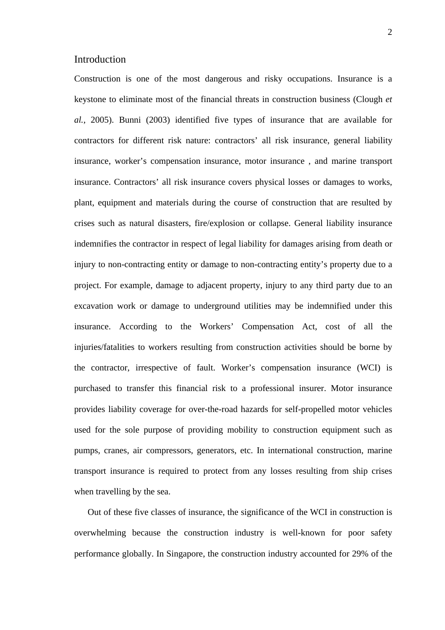#### **Introduction**

Construction is one of the most dangerous and risky occupations. Insurance is a keystone to eliminate most of the financial threats in construction business (Clough *et al.*, 2005). Bunni (2003) identified five types of insurance that are available for contractors for different risk nature: contractors' all risk insurance, general liability insurance, worker's compensation insurance, motor insurance , and marine transport insurance. Contractors' all risk insurance covers physical losses or damages to works, plant, equipment and materials during the course of construction that are resulted by crises such as natural disasters, fire/explosion or collapse. General liability insurance indemnifies the contractor in respect of legal liability for damages arising from death or injury to non-contracting entity or damage to non-contracting entity's property due to a project. For example, damage to adjacent property, injury to any third party due to an excavation work or damage to underground utilities may be indemnified under this insurance. According to the Workers' Compensation Act, cost of all the injuries/fatalities to workers resulting from construction activities should be borne by the contractor, irrespective of fault. Worker's compensation insurance (WCI) is purchased to transfer this financial risk to a professional insurer. Motor insurance provides liability coverage for over-the-road hazards for self-propelled motor vehicles used for the sole purpose of providing mobility to construction equipment such as pumps, cranes, air compressors, generators, etc. In international construction, marine transport insurance is required to protect from any losses resulting from ship crises when travelling by the sea.

Out of these five classes of insurance, the significance of the WCI in construction is overwhelming because the construction industry is well-known for poor safety performance globally. In Singapore, the construction industry accounted for 29% of the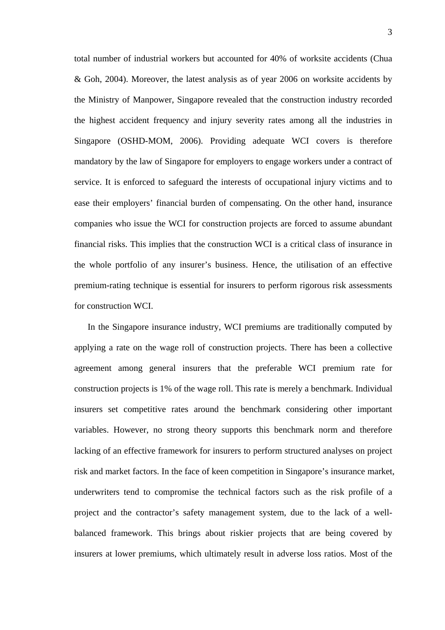total number of industrial workers but accounted for 40% of worksite accidents (Chua & Goh, 2004). Moreover, the latest analysis as of year 2006 on worksite accidents by the Ministry of Manpower, Singapore revealed that the construction industry recorded the highest accident frequency and injury severity rates among all the industries in Singapore (OSHD-MOM, 2006). Providing adequate WCI covers is therefore mandatory by the law of Singapore for employers to engage workers under a contract of service. It is enforced to safeguard the interests of occupational injury victims and to ease their employers' financial burden of compensating. On the other hand, insurance companies who issue the WCI for construction projects are forced to assume abundant financial risks. This implies that the construction WCI is a critical class of insurance in the whole portfolio of any insurer's business. Hence, the utilisation of an effective premium-rating technique is essential for insurers to perform rigorous risk assessments for construction WCI.

In the Singapore insurance industry, WCI premiums are traditionally computed by applying a rate on the wage roll of construction projects. There has been a collective agreement among general insurers that the preferable WCI premium rate for construction projects is 1% of the wage roll. This rate is merely a benchmark. Individual insurers set competitive rates around the benchmark considering other important variables. However, no strong theory supports this benchmark norm and therefore lacking of an effective framework for insurers to perform structured analyses on project risk and market factors. In the face of keen competition in Singapore's insurance market, underwriters tend to compromise the technical factors such as the risk profile of a project and the contractor's safety management system, due to the lack of a wellbalanced framework. This brings about riskier projects that are being covered by insurers at lower premiums, which ultimately result in adverse loss ratios. Most of the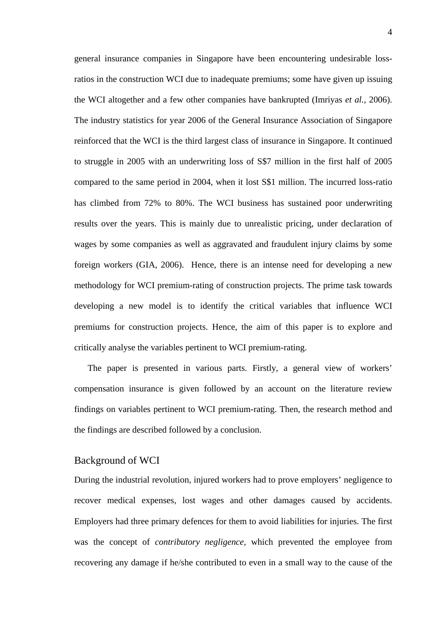general insurance companies in Singapore have been encountering undesirable lossratios in the construction WCI due to inadequate premiums; some have given up issuing the WCI altogether and a few other companies have bankrupted (Imriyas *et al.*, 2006). The industry statistics for year 2006 of the General Insurance Association of Singapore reinforced that the WCI is the third largest class of insurance in Singapore. It continued to struggle in 2005 with an underwriting loss of S\$7 million in the first half of 2005 compared to the same period in 2004, when it lost S\$1 million. The incurred loss-ratio has climbed from 72% to 80%. The WCI business has sustained poor underwriting results over the years. This is mainly due to unrealistic pricing, under declaration of wages by some companies as well as aggravated and fraudulent injury claims by some foreign workers (GIA, 2006). Hence, there is an intense need for developing a new methodology for WCI premium-rating of construction projects. The prime task towards developing a new model is to identify the critical variables that influence WCI premiums for construction projects. Hence, the aim of this paper is to explore and critically analyse the variables pertinent to WCI premium-rating.

The paper is presented in various parts. Firstly, a general view of workers' compensation insurance is given followed by an account on the literature review findings on variables pertinent to WCI premium-rating. Then, the research method and the findings are described followed by a conclusion.

#### Background of WCI

During the industrial revolution, injured workers had to prove employers' negligence to recover medical expenses, lost wages and other damages caused by accidents. Employers had three primary defences for them to avoid liabilities for injuries. The first was the concept of *contributory negligence,* which prevented the employee from recovering any damage if he/she contributed to even in a small way to the cause of the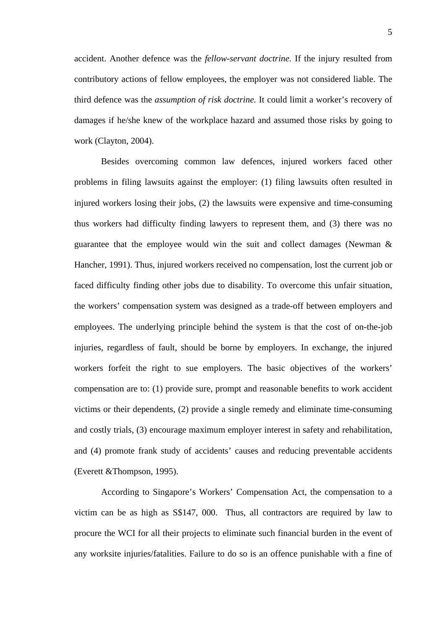accident. Another defence was the *fellow-servant doctrine.* If the injury resulted from contributory actions of fellow employees, the employer was not considered liable. The third defence was the *assumption of risk doctrine.* It could limit a worker's recovery of damages if he/she knew of the workplace hazard and assumed those risks by going to work (Clayton, 2004).

 Besides overcoming common law defences, injured workers faced other problems in filing lawsuits against the employer: (1) filing lawsuits often resulted in injured workers losing their jobs, (2) the lawsuits were expensive and time-consuming thus workers had difficulty finding lawyers to represent them, and (3) there was no guarantee that the employee would win the suit and collect damages (Newman & Hancher, 1991). Thus, injured workers received no compensation, lost the current job or faced difficulty finding other jobs due to disability. To overcome this unfair situation, the workers' compensation system was designed as a trade-off between employers and employees. The underlying principle behind the system is that the cost of on-the-job injuries, regardless of fault, should be borne by employers. In exchange, the injured workers forfeit the right to sue employers. The basic objectives of the workers' compensation are to: (1) provide sure, prompt and reasonable benefits to work accident victims or their dependents, (2) provide a single remedy and eliminate time-consuming and costly trials, (3) encourage maximum employer interest in safety and rehabilitation, and (4) promote frank study of accidents' causes and reducing preventable accidents (Everett &Thompson, 1995).

According to Singapore's Workers' Compensation Act, the compensation to a victim can be as high as S\$147, 000. Thus, all contractors are required by law to procure the WCI for all their projects to eliminate such financial burden in the event of any worksite injuries/fatalities. Failure to do so is an offence punishable with a fine of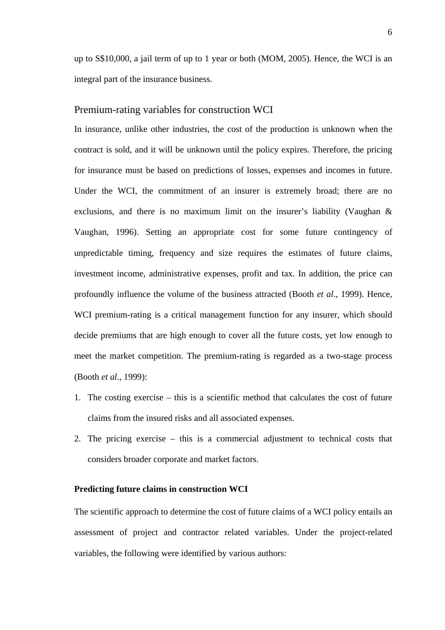up to S\$10,000, a jail term of up to 1 year or both (MOM, 2005). Hence, the WCI is an integral part of the insurance business.

#### Premium-rating variables for construction WCI

In insurance, unlike other industries, the cost of the production is unknown when the contract is sold, and it will be unknown until the policy expires. Therefore, the pricing for insurance must be based on predictions of losses, expenses and incomes in future. Under the WCI, the commitment of an insurer is extremely broad; there are no exclusions, and there is no maximum limit on the insurer's liability (Vaughan & Vaughan, 1996). Setting an appropriate cost for some future contingency of unpredictable timing, frequency and size requires the estimates of future claims, investment income, administrative expenses, profit and tax. In addition, the price can profoundly influence the volume of the business attracted (Booth *et al*., 1999). Hence, WCI premium-rating is a critical management function for any insurer, which should decide premiums that are high enough to cover all the future costs, yet low enough to meet the market competition. The premium-rating is regarded as a two-stage process (Booth *et al*., 1999):

- 1. The costing exercise this is a scientific method that calculates the cost of future claims from the insured risks and all associated expenses.
- 2. The pricing exercise this is a commercial adjustment to technical costs that considers broader corporate and market factors.

#### **Predicting future claims in construction WCI**

The scientific approach to determine the cost of future claims of a WCI policy entails an assessment of project and contractor related variables. Under the project-related variables, the following were identified by various authors: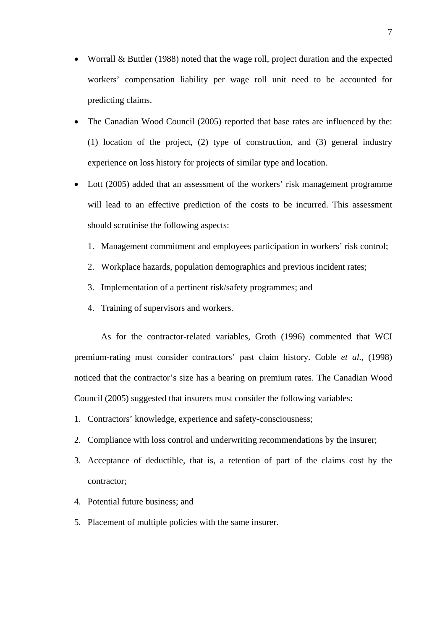- Worrall & Buttler (1988) noted that the wage roll, project duration and the expected workers' compensation liability per wage roll unit need to be accounted for predicting claims.
- The Canadian Wood Council (2005) reported that base rates are influenced by the: (1) location of the project, (2) type of construction, and (3) general industry experience on loss history for projects of similar type and location.
- Lott (2005) added that an assessment of the workers' risk management programme will lead to an effective prediction of the costs to be incurred. This assessment should scrutinise the following aspects:
	- 1. Management commitment and employees participation in workers' risk control;
	- 2. Workplace hazards, population demographics and previous incident rates;
	- 3. Implementation of a pertinent risk/safety programmes; and
	- 4. Training of supervisors and workers.

As for the contractor-related variables, Groth (1996) commented that WCI premium-rating must consider contractors' past claim history. Coble *et al.*, (1998) noticed that the contractor's size has a bearing on premium rates. The Canadian Wood Council (2005) suggested that insurers must consider the following variables:

- 1. Contractors' knowledge, experience and safety-consciousness;
- 2. Compliance with loss control and underwriting recommendations by the insurer;
- 3. Acceptance of deductible, that is, a retention of part of the claims cost by the contractor;
- 4. Potential future business; and
- 5. Placement of multiple policies with the same insurer.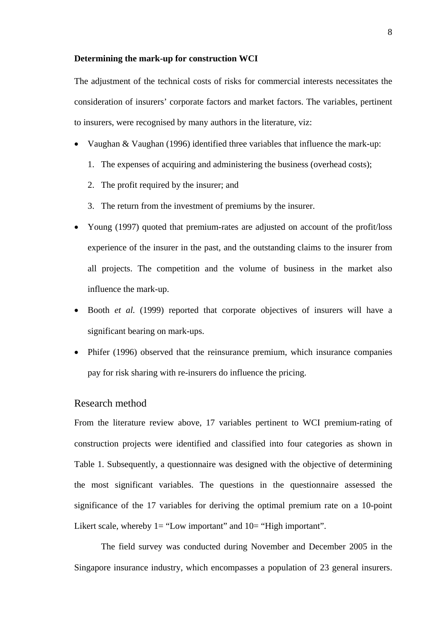#### **Determining the mark-up for construction WCI**

The adjustment of the technical costs of risks for commercial interests necessitates the consideration of insurers' corporate factors and market factors. The variables, pertinent to insurers, were recognised by many authors in the literature, viz:

- Vaughan & Vaughan (1996) identified three variables that influence the mark-up:
	- 1. The expenses of acquiring and administering the business (overhead costs);
	- 2. The profit required by the insurer; and
	- 3. The return from the investment of premiums by the insurer.
- Young (1997) quoted that premium-rates are adjusted on account of the profit/loss experience of the insurer in the past, and the outstanding claims to the insurer from all projects. The competition and the volume of business in the market also influence the mark-up.
- Booth *et al.* (1999) reported that corporate objectives of insurers will have a significant bearing on mark-ups.
- Phifer (1996) observed that the reinsurance premium, which insurance companies pay for risk sharing with re-insurers do influence the pricing.

#### Research method

From the literature review above, 17 variables pertinent to WCI premium-rating of construction projects were identified and classified into four categories as shown in Table 1. Subsequently, a questionnaire was designed with the objective of determining the most significant variables. The questions in the questionnaire assessed the significance of the 17 variables for deriving the optimal premium rate on a 10-point Likert scale, whereby  $1 =$  "Low important" and  $10 =$  "High important".

The field survey was conducted during November and December 2005 in the Singapore insurance industry, which encompasses a population of 23 general insurers.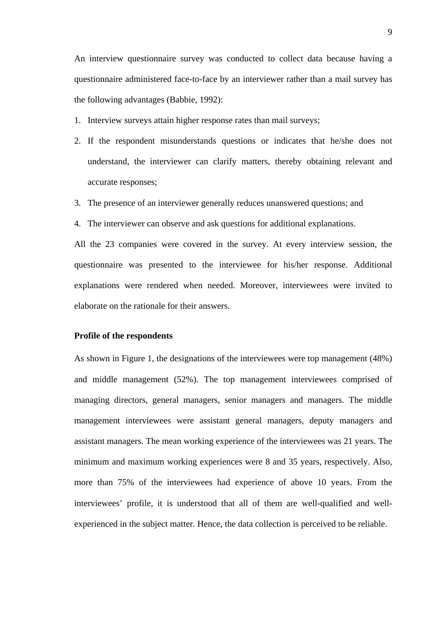An interview questionnaire survey was conducted to collect data because having a questionnaire administered face-to-face by an interviewer rather than a mail survey has the following advantages (Babbie, 1992):

- 1. Interview surveys attain higher response rates than mail surveys;
- 2. If the respondent misunderstands questions or indicates that he/she does not understand, the interviewer can clarify matters, thereby obtaining relevant and accurate responses;
- 3. The presence of an interviewer generally reduces unanswered questions; and
- 4. The interviewer can observe and ask questions for additional explanations.

All the 23 companies were covered in the survey. At every interview session, the questionnaire was presented to the interviewee for his/her response. Additional explanations were rendered when needed. Moreover, interviewees were invited to elaborate on the rationale for their answers.

#### **Profile of the respondents**

As shown in Figure 1, the designations of the interviewees were top management (48%) and middle management (52%). The top management interviewees comprised of managing directors, general managers, senior managers and managers. The middle management interviewees were assistant general managers, deputy managers and assistant managers. The mean working experience of the interviewees was 21 years. The minimum and maximum working experiences were 8 and 35 years, respectively. Also, more than 75% of the interviewees had experience of above 10 years. From the interviewees' profile, it is understood that all of them are well-qualified and wellexperienced in the subject matter. Hence, the data collection is perceived to be reliable.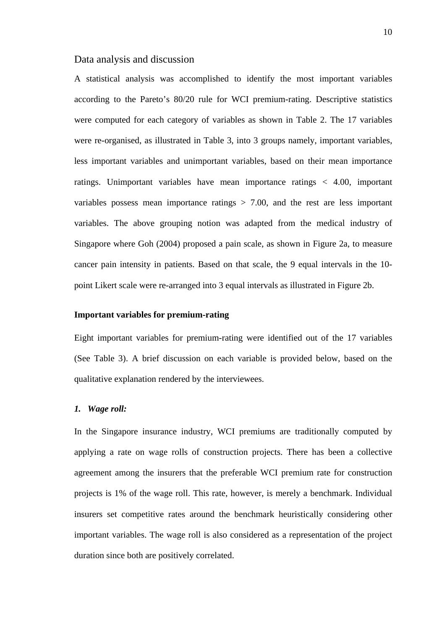#### Data analysis and discussion

A statistical analysis was accomplished to identify the most important variables according to the Pareto's 80/20 rule for WCI premium-rating. Descriptive statistics were computed for each category of variables as shown in Table 2. The 17 variables were re-organised, as illustrated in Table 3, into 3 groups namely, important variables, less important variables and unimportant variables, based on their mean importance ratings. Unimportant variables have mean importance ratings < 4.00, important variables possess mean importance ratings  $> 7.00$ , and the rest are less important variables. The above grouping notion was adapted from the medical industry of Singapore where Goh (2004) proposed a pain scale, as shown in Figure 2a, to measure cancer pain intensity in patients. Based on that scale, the 9 equal intervals in the 10 point Likert scale were re-arranged into 3 equal intervals as illustrated in Figure 2b.

#### **Important variables for premium-rating**

Eight important variables for premium-rating were identified out of the 17 variables (See Table 3). A brief discussion on each variable is provided below, based on the qualitative explanation rendered by the interviewees.

#### *1. Wage roll:*

In the Singapore insurance industry, WCI premiums are traditionally computed by applying a rate on wage rolls of construction projects. There has been a collective agreement among the insurers that the preferable WCI premium rate for construction projects is 1% of the wage roll. This rate, however, is merely a benchmark. Individual insurers set competitive rates around the benchmark heuristically considering other important variables. The wage roll is also considered as a representation of the project duration since both are positively correlated.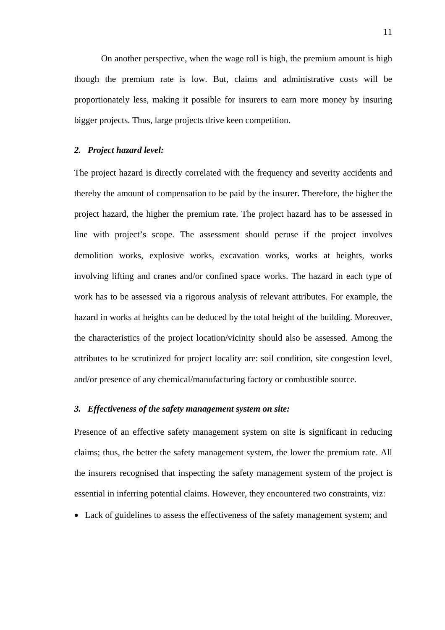On another perspective, when the wage roll is high, the premium amount is high though the premium rate is low. But, claims and administrative costs will be proportionately less, making it possible for insurers to earn more money by insuring bigger projects. Thus, large projects drive keen competition.

#### *2. Project hazard level:*

The project hazard is directly correlated with the frequency and severity accidents and thereby the amount of compensation to be paid by the insurer. Therefore, the higher the project hazard, the higher the premium rate. The project hazard has to be assessed in line with project's scope. The assessment should peruse if the project involves demolition works, explosive works, excavation works, works at heights, works involving lifting and cranes and/or confined space works. The hazard in each type of work has to be assessed via a rigorous analysis of relevant attributes. For example, the hazard in works at heights can be deduced by the total height of the building. Moreover, the characteristics of the project location/vicinity should also be assessed. Among the attributes to be scrutinized for project locality are: soil condition, site congestion level, and/or presence of any chemical/manufacturing factory or combustible source.

#### *3. Effectiveness of the safety management system on site:*

Presence of an effective safety management system on site is significant in reducing claims; thus, the better the safety management system, the lower the premium rate. All the insurers recognised that inspecting the safety management system of the project is essential in inferring potential claims. However, they encountered two constraints, viz:

• Lack of guidelines to assess the effectiveness of the safety management system; and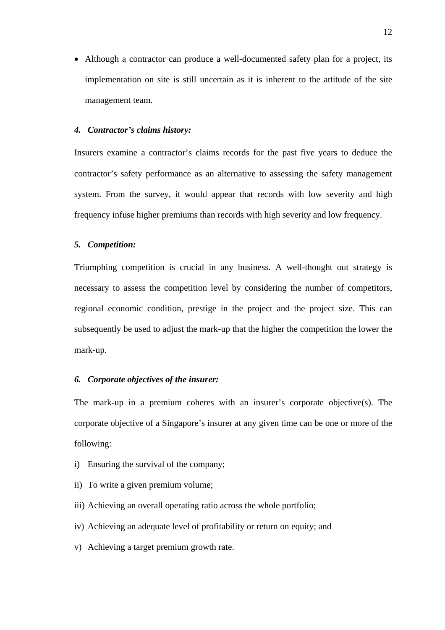• Although a contractor can produce a well-documented safety plan for a project, its implementation on site is still uncertain as it is inherent to the attitude of the site management team.

#### *4. Contractor's claims history:*

Insurers examine a contractor's claims records for the past five years to deduce the contractor's safety performance as an alternative to assessing the safety management system. From the survey, it would appear that records with low severity and high frequency infuse higher premiums than records with high severity and low frequency.

#### *5. Competition:*

Triumphing competition is crucial in any business. A well-thought out strategy is necessary to assess the competition level by considering the number of competitors, regional economic condition, prestige in the project and the project size. This can subsequently be used to adjust the mark-up that the higher the competition the lower the mark-up.

#### *6. Corporate objectives of the insurer:*

The mark-up in a premium coheres with an insurer's corporate objective(s). The corporate objective of a Singapore's insurer at any given time can be one or more of the following:

- i) Ensuring the survival of the company;
- ii) To write a given premium volume;
- iii) Achieving an overall operating ratio across the whole portfolio;
- iv) Achieving an adequate level of profitability or return on equity; and
- v) Achieving a target premium growth rate.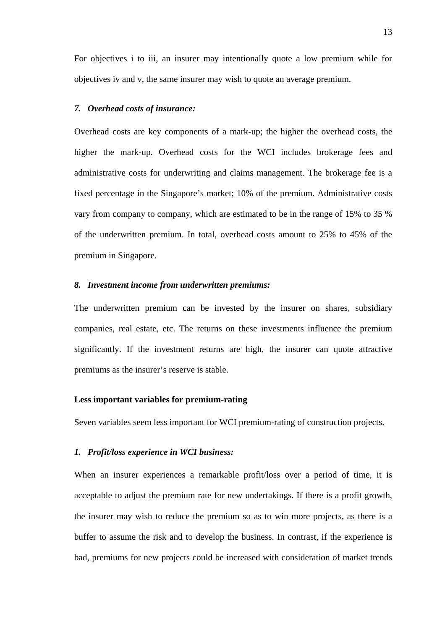For objectives i to iii, an insurer may intentionally quote a low premium while for objectives iv and v, the same insurer may wish to quote an average premium.

#### *7. Overhead costs of insurance:*

Overhead costs are key components of a mark-up; the higher the overhead costs, the higher the mark-up. Overhead costs for the WCI includes brokerage fees and administrative costs for underwriting and claims management. The brokerage fee is a fixed percentage in the Singapore's market; 10% of the premium. Administrative costs vary from company to company, which are estimated to be in the range of 15% to 35 % of the underwritten premium. In total, overhead costs amount to 25% to 45% of the premium in Singapore.

#### *8. Investment income from underwritten premiums:*

The underwritten premium can be invested by the insurer on shares, subsidiary companies, real estate, etc. The returns on these investments influence the premium significantly. If the investment returns are high, the insurer can quote attractive premiums as the insurer's reserve is stable.

#### **Less important variables for premium-rating**

Seven variables seem less important for WCI premium-rating of construction projects.

#### *1. Profit/loss experience in WCI business:*

When an insurer experiences a remarkable profit/loss over a period of time, it is acceptable to adjust the premium rate for new undertakings. If there is a profit growth, the insurer may wish to reduce the premium so as to win more projects, as there is a buffer to assume the risk and to develop the business. In contrast, if the experience is bad, premiums for new projects could be increased with consideration of market trends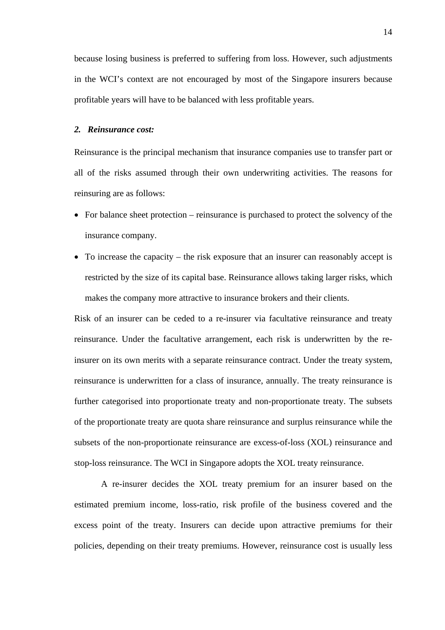because losing business is preferred to suffering from loss. However, such adjustments in the WCI's context are not encouraged by most of the Singapore insurers because profitable years will have to be balanced with less profitable years.

#### *2. Reinsurance cost:*

Reinsurance is the principal mechanism that insurance companies use to transfer part or all of the risks assumed through their own underwriting activities. The reasons for reinsuring are as follows:

- For balance sheet protection reinsurance is purchased to protect the solvency of the insurance company.
- To increase the capacity the risk exposure that an insurer can reasonably accept is restricted by the size of its capital base. Reinsurance allows taking larger risks, which makes the company more attractive to insurance brokers and their clients.

Risk of an insurer can be ceded to a re-insurer via facultative reinsurance and treaty reinsurance. Under the facultative arrangement, each risk is underwritten by the reinsurer on its own merits with a separate reinsurance contract. Under the treaty system, reinsurance is underwritten for a class of insurance, annually. The treaty reinsurance is further categorised into proportionate treaty and non-proportionate treaty. The subsets of the proportionate treaty are quota share reinsurance and surplus reinsurance while the subsets of the non-proportionate reinsurance are excess-of-loss (XOL) reinsurance and stop-loss reinsurance. The WCI in Singapore adopts the XOL treaty reinsurance.

A re-insurer decides the XOL treaty premium for an insurer based on the estimated premium income, loss-ratio, risk profile of the business covered and the excess point of the treaty. Insurers can decide upon attractive premiums for their policies, depending on their treaty premiums. However, reinsurance cost is usually less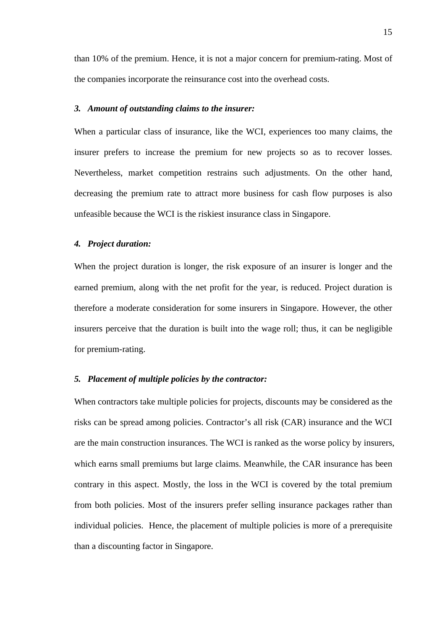than 10% of the premium. Hence, it is not a major concern for premium-rating. Most of the companies incorporate the reinsurance cost into the overhead costs.

#### *3. Amount of outstanding claims to the insurer:*

When a particular class of insurance, like the WCI, experiences too many claims, the insurer prefers to increase the premium for new projects so as to recover losses. Nevertheless, market competition restrains such adjustments. On the other hand, decreasing the premium rate to attract more business for cash flow purposes is also unfeasible because the WCI is the riskiest insurance class in Singapore.

#### *4. Project duration:*

When the project duration is longer, the risk exposure of an insurer is longer and the earned premium, along with the net profit for the year, is reduced. Project duration is therefore a moderate consideration for some insurers in Singapore. However, the other insurers perceive that the duration is built into the wage roll; thus, it can be negligible for premium-rating.

#### *5. Placement of multiple policies by the contractor:*

When contractors take multiple policies for projects, discounts may be considered as the risks can be spread among policies. Contractor's all risk (CAR) insurance and the WCI are the main construction insurances. The WCI is ranked as the worse policy by insurers, which earns small premiums but large claims. Meanwhile, the CAR insurance has been contrary in this aspect. Mostly, the loss in the WCI is covered by the total premium from both policies. Most of the insurers prefer selling insurance packages rather than individual policies. Hence, the placement of multiple policies is more of a prerequisite than a discounting factor in Singapore.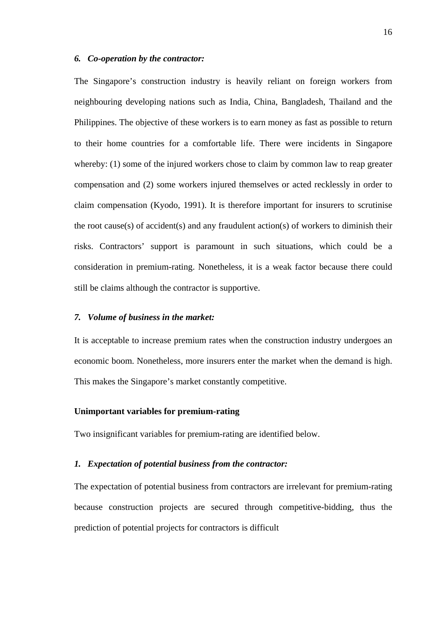#### *6. Co-operation by the contractor:*

The Singapore's construction industry is heavily reliant on foreign workers from neighbouring developing nations such as India, China, Bangladesh, Thailand and the Philippines. The objective of these workers is to earn money as fast as possible to return to their home countries for a comfortable life. There were incidents in Singapore whereby: (1) some of the injured workers chose to claim by common law to reap greater compensation and (2) some workers injured themselves or acted recklessly in order to claim compensation (Kyodo, 1991). It is therefore important for insurers to scrutinise the root cause(s) of accident(s) and any fraudulent action(s) of workers to diminish their risks. Contractors' support is paramount in such situations, which could be a consideration in premium-rating. Nonetheless, it is a weak factor because there could still be claims although the contractor is supportive.

#### *7. Volume of business in the market:*

It is acceptable to increase premium rates when the construction industry undergoes an economic boom. Nonetheless, more insurers enter the market when the demand is high. This makes the Singapore's market constantly competitive.

#### **Unimportant variables for premium-rating**

Two insignificant variables for premium-rating are identified below.

#### *1. Expectation of potential business from the contractor:*

The expectation of potential business from contractors are irrelevant for premium-rating because construction projects are secured through competitive-bidding, thus the prediction of potential projects for contractors is difficult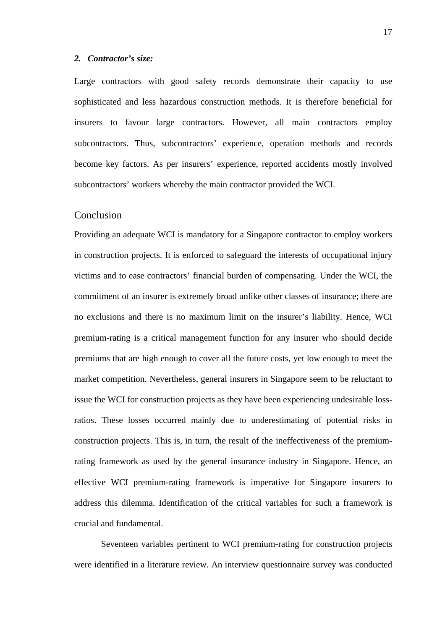#### *2. Contractor's size:*

Large contractors with good safety records demonstrate their capacity to use sophisticated and less hazardous construction methods. It is therefore beneficial for insurers to favour large contractors. However, all main contractors employ subcontractors. Thus, subcontractors' experience, operation methods and records become key factors. As per insurers' experience, reported accidents mostly involved subcontractors' workers whereby the main contractor provided the WCI.

#### Conclusion

Providing an adequate WCI is mandatory for a Singapore contractor to employ workers in construction projects. It is enforced to safeguard the interests of occupational injury victims and to ease contractors' financial burden of compensating. Under the WCI, the commitment of an insurer is extremely broad unlike other classes of insurance; there are no exclusions and there is no maximum limit on the insurer's liability. Hence, WCI premium-rating is a critical management function for any insurer who should decide premiums that are high enough to cover all the future costs, yet low enough to meet the market competition. Nevertheless, general insurers in Singapore seem to be reluctant to issue the WCI for construction projects as they have been experiencing undesirable lossratios. These losses occurred mainly due to underestimating of potential risks in construction projects. This is, in turn, the result of the ineffectiveness of the premiumrating framework as used by the general insurance industry in Singapore. Hence, an effective WCI premium-rating framework is imperative for Singapore insurers to address this dilemma. Identification of the critical variables for such a framework is crucial and fundamental.

 Seventeen variables pertinent to WCI premium-rating for construction projects were identified in a literature review. An interview questionnaire survey was conducted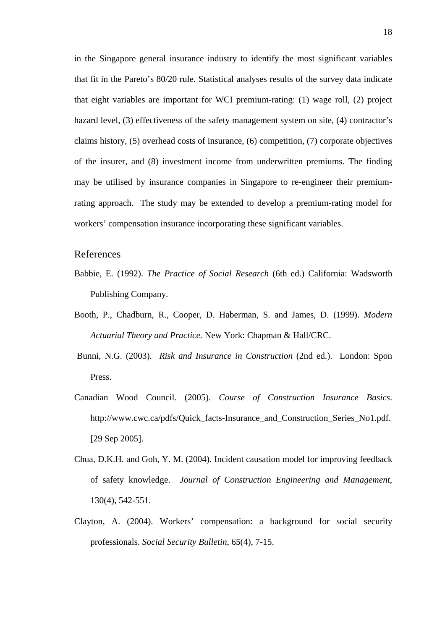in the Singapore general insurance industry to identify the most significant variables that fit in the Pareto's 80/20 rule. Statistical analyses results of the survey data indicate that eight variables are important for WCI premium-rating: (1) wage roll, (2) project hazard level, (3) effectiveness of the safety management system on site, (4) contractor's claims history, (5) overhead costs of insurance, (6) competition, (7) corporate objectives of the insurer, and (8) investment income from underwritten premiums. The finding may be utilised by insurance companies in Singapore to re-engineer their premiumrating approach. The study may be extended to develop a premium-rating model for workers' compensation insurance incorporating these significant variables.

#### References

- Babbie, E. (1992). *The Practice of Social Research* (6th ed.) California: Wadsworth Publishing Company.
- Booth, P., Chadburn, R., Cooper, D. Haberman, S. and James, D. (1999). *Modern Actuarial Theory and Practice.* New York: Chapman & Hall/CRC.
- Bunni, N.G. (2003). *Risk and Insurance in Construction* (2nd ed.). London: Spon Press.
- Canadian Wood Council. (2005). *Course of Construction Insurance Basics*. http://www.cwc.ca/pdfs/Quick facts-Insurance and Construction Series No1.pdf. [29 Sep 2005].
- Chua, D.K.H. and Goh, Y. M. (2004). Incident causation model for improving feedback of safety knowledge. *Journal of Construction Engineering and Management*, 130(4), 542-551.
- Clayton, A. (2004). Workers' compensation: a background for social security professionals. *Social Security Bulletin*, 65(4), 7-15.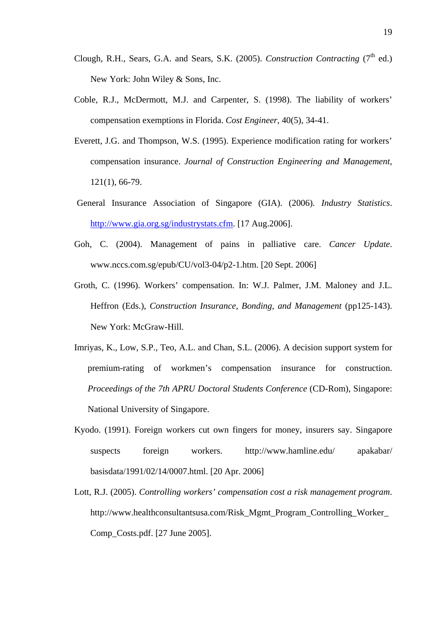- Clough, R.H., Sears, G.A. and Sears, S.K. (2005). *Construction Contracting* (7<sup>th</sup> ed.) New York: John Wiley & Sons, Inc.
- Coble, R.J., McDermott, M.J. and Carpenter, S. (1998). The liability of workers' compensation exemptions in Florida. *Cost Engineer*, 40(5), 34-41.
- Everett, J.G. and Thompson, W.S. (1995). Experience modification rating for workers' compensation insurance. *Journal of Construction Engineering and Management*, 121(1), 66-79.
- General Insurance Association of Singapore (GIA). (2006). *Industry Statistics*. http://www.gia.org.sg/industrystats.cfm. [17 Aug.2006].
- Goh, C. (2004). Management of pains in palliative care. *Cancer Update*. www.nccs.com.sg/epub/CU/vol3-04/p2-1.htm. [20 Sept. 2006]
- Groth, C. (1996). Workers' compensation. In: W.J. Palmer, J.M. Maloney and J.L. Heffron (Eds.), *Construction Insurance, Bonding, and Management* (pp125-143). New York: McGraw-Hill.
- Imriyas, K., Low, S.P., Teo, A.L. and Chan, S.L. (2006). A decision support system for premium-rating of workmen's compensation insurance for construction. *Proceedings of the 7th APRU Doctoral Students Conference* (CD-Rom), Singapore: National University of Singapore.
- Kyodo. (1991). Foreign workers cut own fingers for money, insurers say. Singapore suspects foreign workers. http://www.hamline.edu/ apakabar/ basisdata/1991/02/14/0007.html. [20 Apr. 2006]
- Lott, R.J. (2005). *Controlling workers' compensation cost a risk management program*. http://www.healthconsultantsusa.com/Risk\_Mgmt\_Program\_Controlling\_Worker\_ Comp\_Costs.pdf. [27 June 2005].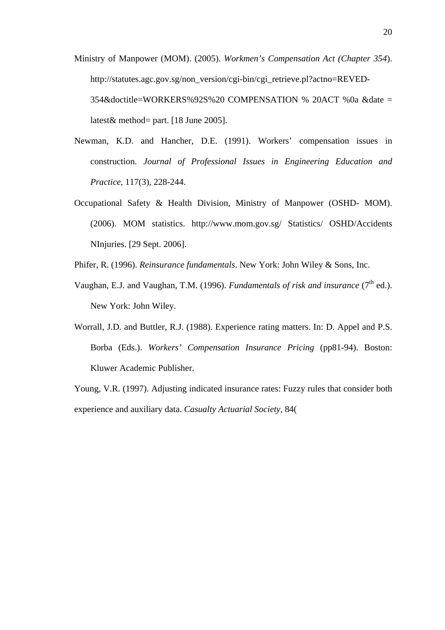- Ministry of Manpower (MOM). (2005). *Workmen's Compensation Act (Chapter 354*). http://statutes.agc.gov.sg/non\_version/cgi-bin/cgi\_retrieve.pl?actno=REVED-354&doctitle=WORKERS%92S%20 COMPENSATION % 20ACT %0a &date = latest& method= part. [18 June 2005].
- Newman, K.D. and Hancher, D.E. (1991). Workers' compensation issues in construction. *Journal of Professional Issues in Engineering Education and Practice*, 117(3), 228-244.
- Occupational Safety & Health Division, Ministry of Manpower (OSHD- MOM). (2006). MOM statistics. http://www.mom.gov.sg/ Statistics/ OSHD/Accidents NInjuries. [29 Sept. 2006].
- Phifer, R. (1996). *Reinsurance fundamentals*. New York: John Wiley & Sons, Inc.
- Vaughan, E.J. and Vaughan, T.M. (1996). *Fundamentals of risk and insurance* (7<sup>th</sup> ed.). New York: John Wiley.
- Worrall, J.D. and Buttler, R.J. (1988). Experience rating matters. In: D. Appel and P.S. Borba (Eds.). *Workers' Compensation Insurance Pricing* (pp81-94). Boston: Kluwer Academic Publisher.

Young, V.R. (1997). Adjusting indicated insurance rates: Fuzzy rules that consider both experience and auxiliary data. *Casualty Actuarial Society,* 84(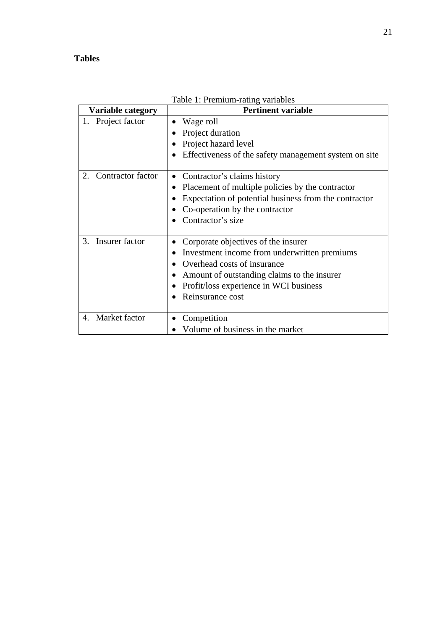### **Tables**

| <b>Variable category</b> | Table 1: Premium-rating variables<br><b>Pertinent variable</b>                                                                                                                                                                  |  |  |  |
|--------------------------|---------------------------------------------------------------------------------------------------------------------------------------------------------------------------------------------------------------------------------|--|--|--|
| Project factor           | Wage roll<br>Project duration<br>Project hazard level<br>Effectiveness of the safety management system on site                                                                                                                  |  |  |  |
| Contractor factor<br>2.  | Contractor's claims history<br>$\bullet$<br>Placement of multiple policies by the contractor<br>Expectation of potential business from the contractor<br>Co-operation by the contractor<br>Contractor's size                    |  |  |  |
| Insurer factor<br>3.     | Corporate objectives of the insurer<br>Investment income from underwritten premiums<br>Overhead costs of insurance<br>Amount of outstanding claims to the insurer<br>Profit/loss experience in WCI business<br>Reinsurance cost |  |  |  |
| Market factor<br>4.      | Competition<br>Volume of business in the market                                                                                                                                                                                 |  |  |  |

Table 1: Premium-rating variables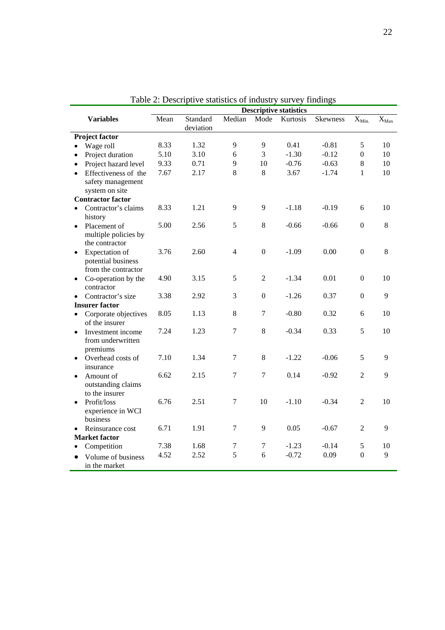|                          |                                                             | <b>Descriptive statistics</b> |           |                  |                  |          |                 |                  |           |
|--------------------------|-------------------------------------------------------------|-------------------------------|-----------|------------------|------------------|----------|-----------------|------------------|-----------|
|                          | <b>Variables</b>                                            | Mean                          | Standard  | Median           | Mode             | Kurtosis | <b>Skewness</b> | $X_{Min.}$       | $X_{Max}$ |
|                          |                                                             |                               | deviation |                  |                  |          |                 |                  |           |
| Project factor           |                                                             |                               |           |                  |                  |          |                 |                  |           |
|                          | Wage roll                                                   | 8.33                          | 1.32      | 9                | 9                | 0.41     | $-0.81$         | 5                | 10        |
|                          | Project duration                                            | 5.10                          | 3.10      | 6                | 3                | $-1.30$  | $-0.12$         | $\boldsymbol{0}$ | 10        |
|                          | Project hazard level                                        | 9.33                          | 0.71      | 9                | 10               | $-0.76$  | $-0.63$         | $\,8\,$          | 10        |
| $\bullet$                | Effectiveness of the<br>safety management<br>system on site | 7.67                          | 2.17      | 8                | $\,8\,$          | 3.67     | $-1.74$         | $\mathbf{1}$     | 10        |
| <b>Contractor factor</b> |                                                             |                               |           |                  |                  |          |                 |                  |           |
|                          | Contractor's claims<br>history                              | 8.33                          | 1.21      | 9                | 9                | $-1.18$  | $-0.19$         | 6                | 10        |
| $\bullet$                | Placement of<br>multiple policies by<br>the contractor      | 5.00                          | 2.56      | 5                | $\,8\,$          | $-0.66$  | $-0.66$         | $\boldsymbol{0}$ | 8         |
|                          | Expectation of<br>potential business<br>from the contractor | 3.76                          | 2.60      | $\overline{4}$   | $\mathbf{0}$     | $-1.09$  | 0.00            | $\mathbf{0}$     | 8         |
| $\bullet$                | Co-operation by the<br>contractor                           | 4.90                          | 3.15      | 5                | $\overline{2}$   | $-1.34$  | 0.01            | $\boldsymbol{0}$ | 10        |
|                          | Contractor's size                                           | 3.38                          | 2.92      | 3                | $\boldsymbol{0}$ | $-1.26$  | 0.37            | $\mathbf{0}$     | 9         |
| <b>Insurer factor</b>    |                                                             |                               |           |                  |                  |          |                 |                  |           |
|                          | Corporate objectives<br>of the insurer                      | 8.05                          | 1.13      | 8                | $\tau$           | $-0.80$  | 0.32            | 6                | 10        |
| $\bullet$                | Investment income<br>from underwritten<br>premiums          | 7.24                          | 1.23      | $\boldsymbol{7}$ | $\,8\,$          | $-0.34$  | 0.33            | 5                | 10        |
|                          | Overhead costs of<br>insurance                              | 7.10                          | 1.34      | $\boldsymbol{7}$ | $\,8\,$          | $-1.22$  | $-0.06$         | 5                | 9         |
| $\bullet$                | Amount of<br>outstanding claims<br>to the insurer           | 6.62                          | 2.15      | $\tau$           | $\overline{7}$   | 0.14     | $-0.92$         | $\overline{2}$   | 9         |
|                          | Profit/loss<br>experience in WCI<br>business                | 6.76                          | 2.51      | $\tau$           | 10               | $-1.10$  | $-0.34$         | $\overline{2}$   | 10        |
|                          | Reinsurance cost                                            | 6.71                          | 1.91      | $\tau$           | 9                | 0.05     | $-0.67$         | $\overline{2}$   | 9         |
|                          | <b>Market</b> factor                                        |                               |           |                  |                  |          |                 |                  |           |
|                          | Competition                                                 | 7.38                          | 1.68      | $\tau$           | 7                | $-1.23$  | $-0.14$         | 5                | 10        |
|                          | Volume of business<br>in the market                         | 4.52                          | 2.52      | 5                | 6                | $-0.72$  | 0.09            | $\mathbf{0}$     | 9         |

Table 2: Descriptive statistics of industry survey findings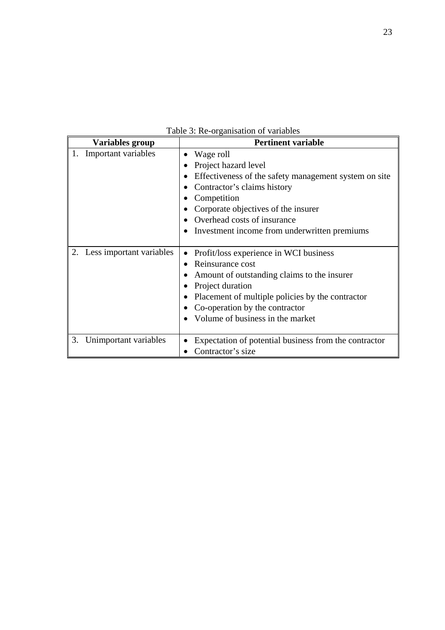Table 3: Re-organisation of variables

| Variables group             | <b>Pertinent variable</b>                                                                                                                                                                                                                                      |  |  |  |  |  |
|-----------------------------|----------------------------------------------------------------------------------------------------------------------------------------------------------------------------------------------------------------------------------------------------------------|--|--|--|--|--|
| Important variables         | Wage roll<br>Project hazard level<br>Effectiveness of the safety management system on site<br>Contractor's claims history<br>Competition<br>Corporate objectives of the insurer<br>Overhead costs of insurance<br>Investment income from underwritten premiums |  |  |  |  |  |
| 2. Less important variables | Profit/loss experience in WCI business<br>Reinsurance cost<br>Amount of outstanding claims to the insurer<br>Project duration<br>Placement of multiple policies by the contractor<br>Co-operation by the contractor<br>Volume of business in the market        |  |  |  |  |  |
| 3.<br>Unimportant variables | Expectation of potential business from the contractor<br>Contractor's size                                                                                                                                                                                     |  |  |  |  |  |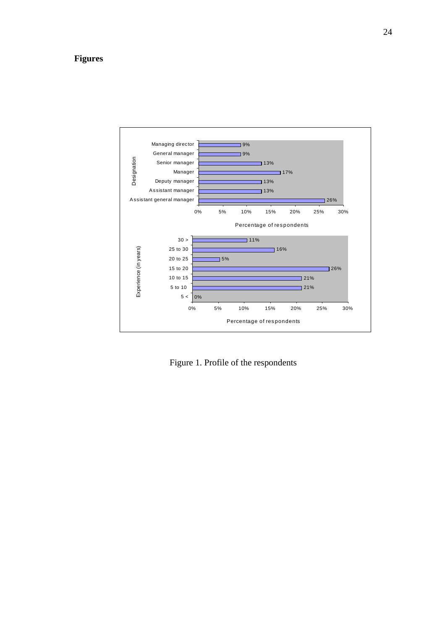### **Figures**



Figure 1. Profile of the respondents